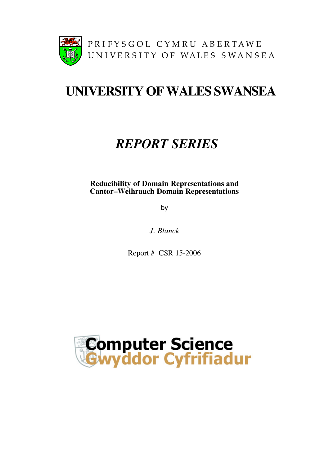

# **UNIVERSITY OFWALES SWANSEA**

# *REPORT SERIES*

**Reducibility of Domain Representations and Cantor–Weihrauch Domain Representations**

by

*J. Blanck*

Report # CSR 15-2006

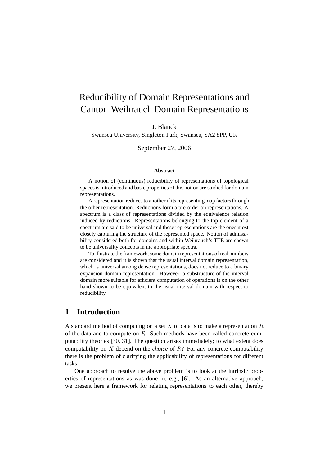# Reducibility of Domain Representations and Cantor–Weihrauch Domain Representations

J. Blanck

Swansea University, Singleton Park, Swansea, SA2 8PP, UK

September 27, 2006

#### **Abstract**

A notion of (continuous) reducibility of representations of topological spaces is introduced and basic properties of this notion are studied for domain representations.

A representation reduces to another if its representing map factors through the other representation. Reductions form a pre-order on representations. A spectrum is a class of representations divided by the equivalence relation induced by reductions. Representations belonging to the top element of a spectrum are said to be universal and these representations are the ones most closely capturing the structure of the represented space. Notion of admissibility considered both for domains and within Weihrauch's TTE are shown to be universality concepts in the appropriate spectra.

To illustrate the framework, some domain representations of real numbers are considered and it is shown that the usual interval domain representation, which is universal among dense representations, does not reduce to a binary expansion domain representation. However, a substructure of the interval domain more suitable for efficient computation of operations is on the other hand shown to be equivalent to the usual interval domain with respect to reducibility.

# **1 Introduction**

A standard method of computing on a set  $X$  of data is to make a representation  $R$ of the data and to compute on R. Such methods have been called concrete computability theories [30, 31]. The question arises immediately; to what extent does computability on X depend on the *choice* of R? For any concrete computability there is the problem of clarifying the applicability of representations for different tasks.

One approach to resolve the above problem is to look at the intrinsic properties of representations as was done in, e.g., [6]. As an alternative approach, we present here a framework for relating representations to each other, thereby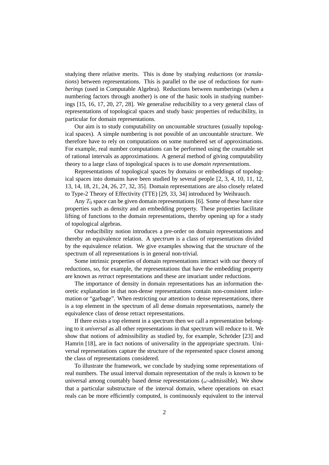studying there relative merits. This is done by studying *reductions* (or *translations*) between representations. This is parallel to the use of reductions for *numberings* (used in Computable Algebra). Reductions between numberings (when a numbering factors through another) is one of the basic tools in studying numberings [15, 16, 17, 20, 27, 28]. We generalise reducibility to a very general class of representations of topological spaces and study basic properties of reducibility, in particular for domain representations.

Our aim is to study computability on uncountable structures (usually topological spaces). A simple numbering is not possible of an uncountable structure. We therefore have to rely on computations on some numbered set of approximations. For example, real number computations can be performed using the countable set of rational intervals as approximations. A general method of giving computability theory to a large class of topological spaces is to use *domain representations*.

Representations of topological spaces by domains or embeddings of topological spaces into domains have been studied by several people [2, 3, 4, 10, 11, 12, 13, 14, 18, 21, 24, 26, 27, 32, 35]. Domain representations are also closely related to Type-2 Theory of Effectivity (TTE) [29, 33, 34] introduced by Weihrauch.

Any  $T_0$  space can be given domain representations [6]. Some of these have nice properties such as density and an embedding property. These properties facilitate lifting of functions to the domain representations, thereby opening up for a study of topological algebras.

Our reducibility notion introduces a pre-order on domain representations and thereby an equivalence relation. A *spectrum* is a class of representations divided by the equivalence relation. We give examples showing that the structure of the spectrum of all representations is in general non-trivial.

Some intrinsic properties of domain representations interact with our theory of reductions, so, for example, the representations that have the embedding property are known as *retract* representations and these are invariant under reductions.

The importance of density in domain representations has an information theoretic explanation in that non-dense representations contain non-consistent information or "garbage". When restricting our attention to dense representations, there is a top element in the spectrum of all dense domain representations, namely the equivalence class of dense retract representations.

If there exists a top element in a spectrum then we call a representation belonging to it *universal* as all other representations in that spectrum will reduce to it. We show that notions of admissibility as studied by, for example, Schröder [23] and Hamrin [18], are in fact notions of universality in the appropriate spectrum. Universal representations capture the structure of the represented space closest among the class of representations considered.

To illustrate the framework, we conclude by studying some representations of real numbers. The usual interval domain representation of the reals is known to be universal among countably based dense representations ( $\omega$ -admissible). We show that a particular substructure of the interval domain, where operations on exact reals can be more efficiently computed, is continuously equivalent to the interval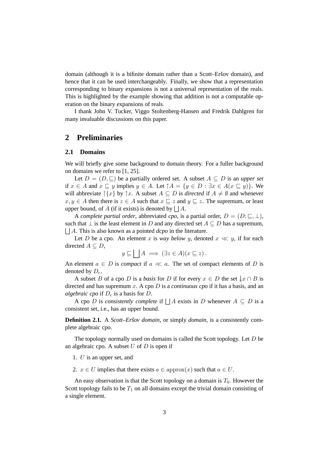domain (although it is a bifinite domain rather than a Scott–Eršov domain), and hence that it can be used interchangeably. Finally, we show that a representation corresponding to binary expansions is not a universal representation of the reals. This is highlighted by the example showing that addition is not a computable operation on the binary expansions of reals.

I thank John V. Tucker, Viggo Stoltenberg-Hansen and Fredrik Dahlgren for many invaluable discussions on this paper.

# **2 Preliminaries**

### **2.1 Domains**

We will briefly give some background to domain theory. For a fuller background on domains we refer to [1, 25].

Let  $D = (D, \sqsubseteq)$  be a partially ordered set. A subset  $A \subseteq D$  is an *upper set* if  $x \in A$  and  $x \subseteq y$  implies  $y \in A$ . Let  $\uparrow A = \{y \in D : \exists x \in A(x \subseteq y)\}\.$  We will abbreviate  $\{x\}$  by  $\uparrow x$ . A subset  $A \subseteq D$  is *directed* if  $A \neq \emptyset$  and whenever  $x, y \in A$  then there is  $z \in A$  such that  $x \subseteq z$  and  $y \subseteq z$ . The supremum, or least upper bound, of A (if it exists) is denoted by  $\Box A$ .

A *complete partial order*, abbreviated *cpo*, is a partial order,  $D = (D; \subseteq, \perp)$ , such that  $\perp$  is the least element in D and any directed set  $A \subseteq D$  has a supremum,  $\Box A$ . This is also known as a pointed *dcpo* in the literature.

Let D be a cpo. An element x is *way below* y, denoted  $x \ll y$ , if for each directed  $A \subseteq D$ ,

$$
y \sqsubseteq \bigsqcup A \implies (\exists z \in A)(x \sqsubseteq z).
$$

An element  $a \in D$  is *compact* if  $a \ll a$ . The set of compact elements of D is denoted by  $D<sub>c</sub>$ .

A subset B of a cpo D is a *basis* for D if for every  $x \in D$  the set  $\downarrow x \cap B$  is directed and has supremum x. A cpo D is a *continuous cpo* if it has a basis, and an *algebraic cpo* if  $D<sub>c</sub>$  is a basis for  $D$ .

A cpo D is *consistently complete* if  $\Box A$  exists in D whenever  $A \subseteq D$  is a consistent set, i.e., has an upper bound.

**Definition 2.1.** A *Scott–Eršov domain*, or simply *domain*, is a consistently complete algebraic cpo.

The topology normally used on domains is called the Scott topology. Let  $D$  be an algebraic cpo. A subset  $U$  of  $D$  is open if

- 1. U is an upper set, and
- 2.  $x \in U$  implies that there exists  $a \in \text{approx}(x)$  such that  $a \in U$ .

An easy observation is that the Scott topology on a domain is  $T_0$ . However the Scott topology fails to be  $T_1$  on all domains except the trivial domain consisting of a single element.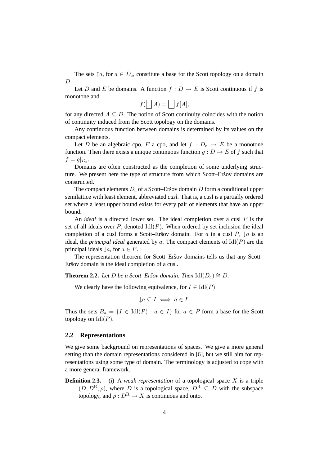The sets  $\uparrow a$ , for  $a \in D_c$ , constitute a base for the Scott topology on a domain D.

Let D and E be domains. A function  $f : D \to E$  is Scott continuous if f is monotone and

$$
f(\bigsqcup A) = \bigsqcup f[A],
$$

for any directed  $A \subseteq D$ . The notion of Scott continuity coincides with the notion of continuity induced from the Scott topology on the domains.

Any continuous function between domains is determined by its values on the compact elements.

Let D be an algebraic cpo, E a cpo, and let  $f : D_c \to E$  be a monotone function. Then there exists a unique continuous function  $g: D \to E$  of f such that  $f = g|_{D_c}.$ 

Domains are often constructed as the completion of some underlying structure. We present here the type of structure from which Scott–Eršov domains are constructed.

The compact elements  $D_c$  of a Scott–Eršov domain  $D$  form a conditional upper semilattice with least element, abbreviated *cusl*. That is, a cusl is a partially ordered set where a least upper bound exists for every pair of elements that have an upper bound.

An *ideal* is a directed lower set. The ideal completion over a cusl P is the set of all ideals over  $P$ , denoted  $\text{Idl}(P)$ . When ordered by set inclusion the ideal completion of a cusl forms a Scott–Eršov domain. For a in a cusl  $P$ ,  $\downarrow$  a is an ideal, the *principal ideal* generated by a. The compact elements of  $\text{Id}(P)$  are the principal ideals  $\downarrow a$ , for  $a \in P$ .

The representation theorem for Scott–Eršov domains tells us that any Scott– Eršov domain is the ideal completion of a cusl.

**Theorem 2.2.** *Let D be a Scott–Eršov domain. Then*  $\text{Idl}(D_c) \cong D$ *.* 

We clearly have the following equivalence, for  $I \in \text{Idl}(P)$ 

 $\downarrow a \subset I \iff a \in I.$ 

Thus the sets  $B_a = \{I \in \text{Idl}(P) : a \in I\}$  for  $a \in P$  form a base for the Scott topology on  $\mathrm{Idl}(P)$ .

## **2.2 Representations**

We give some background on representations of spaces. We give a more general setting than the domain representations considered in [6], but we still aim for representations using some type of domain. The terminology is adjusted to cope with a more general framework.

**Definition 2.3.** (i) A *weak representation* of a topological space X is a triple  $(D, D^R, \rho)$ , where D is a topological space,  $D^R \subseteq D$  with the subspace topology, and  $\rho: D^R \to X$  is continuous and onto.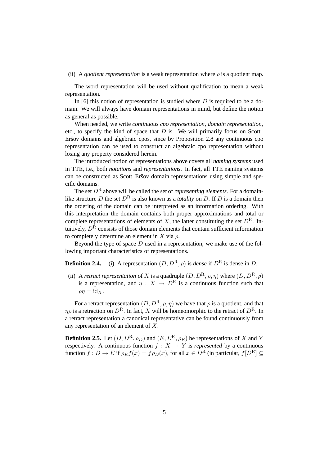### (ii) A *quotient representation* is a weak representation where  $\rho$  is a quotient map.

The word representation will be used without qualification to mean a weak representation.

In [6] this notion of representation is studied where  $D$  is required to be a domain. We will always have domain representations in mind, but define the notion as general as possible.

When needed, we write *continuous cpo representation, domain representation*, etc., to specify the kind of space that  $D$  is. We will primarily focus on Scott– Eršov domains and algebraic cpos, since by Proposition 2.8 any continuous cpo representation can be used to construct an algebraic cpo representation without losing any property considered herein.

The introduced notion of representations above covers all *naming systems* used in TTE, i.e., both *notations* and *representations*. In fact, all TTE naming systems can be constructed as Scott–Eršov domain representations using simple and specific domains.

The set  $D^R$  above will be called the set of *representing elements*. For a domainlike structure D the set  $D^R$  is also known as a *totality* on D. If D is a domain then the ordering of the domain can be interpreted as an information ordering. With this interpretation the domain contains both proper approximations and total or complete representations of elements of X, the latter constituting the set  $D^R$ . Intuitively,  $D<sup>R</sup>$  consists of those domain elements that contain sufficient information to completely determine an element in X via  $\rho$ .

Beyond the type of space  $D$  used in a representation, we make use of the following important characteristics of representations.

**Definition 2.4.** (i) A representation  $(D, D^R, \rho)$  is *dense* if  $D^R$  is dense in D.

(ii) A *retract representation* of X is a quadruple  $(D, D^R, \rho, \eta)$  where  $(D, D^R, \rho)$ is a representation, and  $n : X \to D^{R}$  is a continuous function such that  $\rho \eta = \mathrm{id}_X$ .

For a retract representation  $(D, D^R, \rho, \eta)$  we have that  $\rho$  is a quotient, and that  $\eta \rho$  is a retraction on  $D^R$ . In fact, X will be homeomorphic to the retract of  $D^R$ . In a retract representation a canonical representative can be found continuously from any representation of an element of X.

**Definition 2.5.** Let  $(D, D^R, \rho_D)$  and  $(E, E^R, \rho_E)$  be representations of X and Y respectively. A continuous function  $f : X \to Y$  is *represented* by a continuous function  $\bar{f}: D \to E$  if  $\rho_E \bar{f}(x) = f \rho_D(x)$ , for all  $x \in D^R$  (in particular,  $\bar{f}[D^R] \subseteq$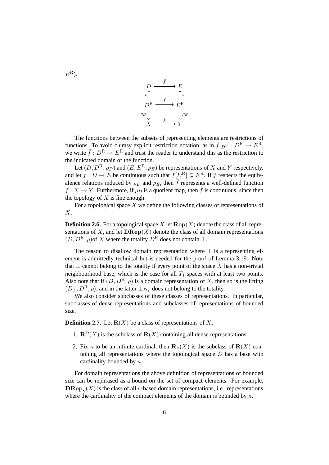$$
D \xrightarrow{\bar{f}} E
$$
  
\n
$$
D^R \xrightarrow{\bar{f}} E^R
$$
  
\n
$$
\rho_D \downarrow \qquad \qquad f \xrightarrow{\rho_E} Y
$$
  
\n
$$
X \xrightarrow{\qquad \qquad f} Y
$$

The functions between the subsets of representing elements are restrictions of functions. To avoid clumsy explicit restriction notation, as in  $\bar{f}|_{D^R} : D^R \to E^R$ , we write  $\bar{f}: D^R \to E^R$  and trust the reader to understand this as the restriction to the indicated domain of the function.

Let  $(D, D^R, \rho_D)$  and  $(E, E^R, \rho_E)$  be representations of X and Y respectively, and let  $\bar{f}: D \to E$  be continuous such that  $\bar{f}[D^R] \subseteq E^R$ . If  $\bar{f}$  respects the equivalence relations induced by  $\rho_D$  and  $\rho_E$ , then  $\bar{f}$  represents a well-defined function  $f: X \to Y$ . Furthermore, if  $\rho_D$  is a quotient map, then f is continuous, since then the topology of  $X$  is fine enough.

For a topological space  $X$  we define the following classes of representations of X.

**Definition 2.6.** For a topological space X let  $\mathbf{Rep}(X)$  denote the class of all representations of X, and let  $\mathbf{D} \mathbf{Rep}(X)$  denote the class of all domain representations  $(D, D^R, \rho)$  of X where the totality  $D^R$  does not contain  $\perp$ .

The reason to disallow domain representation where  $\perp$  is a representing element is admittedly technical but is needed for the proof of Lemma 3.19. Note that  $\perp$  cannot belong to the totality if every point of the space X has a non-trivial neighbourhood base, which is the case for all  $T_1$  spaces with at least two points. Also note that if  $(D, D^R, \rho)$  is a domain representation of X, then so is the lifting  $(D_\perp, D^{\rm R}, \rho)$ , and in the latter  $\perp_{D_\perp}$  does not belong to the totality.

We also consider subclasses of these classes of representations. In particular, subclasses of dense representations and subclasses of representations of bounded size.

**Definition 2.7.** Let  $\mathbf{R}(X)$  be a class of representations of X.

- 1.  $\mathbb{R}^D(X)$  is the subclass of  $\mathbb{R}(X)$  containing all dense representations.
- 2. Fix  $\kappa$  to be an infinite cardinal, then  $\mathbf{R}_{\kappa}(X)$  is the subclass of  $\mathbf{R}(X)$  containing all representations where the topological space  $D$  has a base with cardinality bounded by  $\kappa$ .

For domain representations the above definition of representations of bounded size can be rephrased as a bound on the set of compact elements. For example,  $\mathbf{D}\mathbf{Rep}_{\kappa}(X)$  is the class of all  $\kappa$ -based domain representations, i.e., representations where the cardinality of the compact elements of the domain is bounded by  $\kappa$ .

 $E^{\rm R}$ ).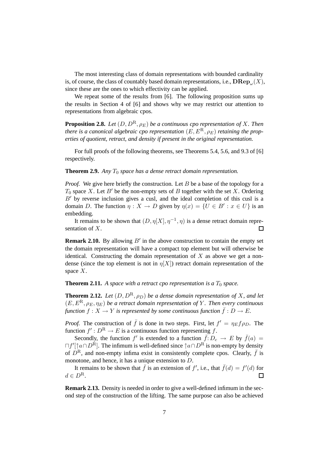The most interesting class of domain representations with bounded cardinality is, of course, the class of countably based domain representations, i.e.,  $\mathbf{D}\mathbf{Rep}_{\omega}(X),$ since these are the ones to which effectivity can be applied.

We repeat some of the results from [6]. The following proposition sums up the results in Section 4 of [6] and shows why we may restrict our attention to representations from algebraic cpos.

**Proposition 2.8.** *Let*  $(D, D^R, \rho_E)$  *be a continuous cpo representation of* X. *Then there is a canonical algebraic cpo representation*  $(E, E^R, \rho_E)$  *retaining the properties of quotient, retract, and density if present in the original representation.*

For full proofs of the following theorems, see Theorems 5.4, 5.6, and 9.3 of [6] respectively.

#### **Theorem 2.9.** *Any*  $T_0$  *space has a dense retract domain representation.*

*Proof.* We give here briefly the construction. Let B be a base of the topology for a  $T_0$  space X. Let B' be the non-empty sets of B together with the set X. Ordering  $B'$  by reverse inclusion gives a cusl, and the ideal completion of this cusl is a domain D. The function  $\eta: X \to D$  given by  $\eta(x) = \{U \in B' : x \in U\}$  is an embedding.

It remains to be shown that  $(D, \eta[X], \eta^{-1}, \eta)$  is a dense retract domain repre- $\Box$ sentation of X.

**Remark 2.10.** By allowing  $B'$  in the above construction to contain the empty set the domain representation will have a compact top element but will otherwise be identical. Constructing the domain representation of  $X$  as above we get a nondense (since the top element is not in  $\eta[X]$ ) retract domain representation of the space  $X$ .

**Theorem 2.11.** A space with a retract cpo representation is a  $T_0$  space.

**Theorem 2.12.** *Let*  $(D, D^R, \rho_D)$  *be a dense domain representation of* X, and let  $(E, E^R, \rho_E, \eta_E)$  *be a retract domain representation of* Y. Then every continuous *function*  $f: X \to Y$  *is represented by some continuous function*  $\overline{f}: D \to E$ *.* 

*Proof.* The construction of  $\bar{f}$  is done in two steps. First, let  $f' = \eta_E f \rho_D$ . The function  $f' : D^R \to E$  is a continuous function representing f.

Secondly, the function  $f'$  is extended to a function  $\overline{f: D_c} \to E$  by  $\overline{f}(a) =$  $\Box f'[\hat{a} \cap D^R]$ . The infimum is well-defined since  $\hat{a} \cap D^R$  is non-empty by density of  $D^R$ , and non-empty infima exist in consistently complete cpos. Clearly,  $\bar{f}$  is monotone, and hence, it has a unique extension to D.

It remains to be shown that  $\bar{f}$  is an extension of  $f'$ , i.e., that  $\bar{f}(d) = f'(d)$  for  $d \in D^{\mathcal{R}}$ .  $\Box$ 

**Remark 2.13.** Density is needed in order to give a well-defined infimum in the second step of the construction of the lifting. The same purpose can also be achieved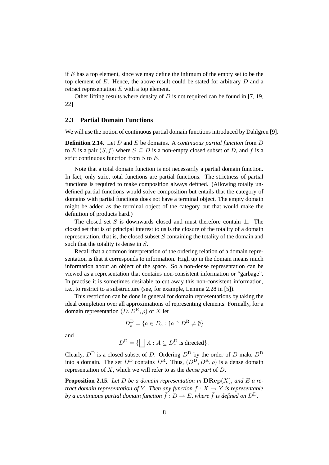if  $E$  has a top element, since we may define the infimum of the empty set to be the top element of  $E$ . Hence, the above result could be stated for arbitrary  $D$  and a retract representation E with a top element.

Other lifting results where density of  $D$  is not required can be found in [7, 19, 22]

# **2.3 Partial Domain Functions**

We will use the notion of continuous partial domain functions introduced by Dahlgren [9].

**Definition 2.14.** Let D and E be domains. A *continuous partial function* from D to E is a pair  $(S, f)$  where  $S \subseteq D$  is a non-empty closed subset of D, and f is a strict continuous function from S to E.

Note that a total domain function is not necessarily a partial domain function. In fact, only strict total functions are partial functions. The strictness of partial functions is required to make composition always defined. (Allowing totally undefined partial functions would solve composition but entails that the category of domains with partial functions does not have a terminal object. The empty domain might be added as the terminal object of the category but that would make the definition of products hard.)

The closed set S is downwards closed and must therefore contain  $\perp$ . The closed set that is of principal interest to us is the closure of the totality of a domain representation, that is, the closed subset  $S$  containing the totality of the domain and such that the totality is dense in S.

Recall that a common interpretation of the ordering relation of a domain representation is that it corresponds to information. High up in the domain means much information about an object of the space. So a non-dense representation can be viewed as a representation that contains non-consistent information or "garbage". In practise it is sometimes desirable to cut away this non-consistent information, i.e., to restrict to a substructure (see, for example, Lemma 2.28 in [5]).

This restriction can be done in general for domain representations by taking the ideal completion over all approximations of representing elements. Formally, for a domain representation  $(D, D^R, \rho)$  of X let

$$
D_{\mathbf{c}}^{\mathbf{D}} = \{a \in D_{\mathbf{c}} : \uparrow a \cap D^{\mathbf{R}} \neq \emptyset\}
$$

and

$$
D^D = \{ \bigsqcup A : A \subseteq D^D_{\rm c} \text{ is directed} \} .
$$

Clearly,  $D^D$  is a closed subset of D. Ordering  $D^D$  by the order of D make  $D^D$ into a domain. The set  $D^D$  contains  $D^R$ . Thus,  $(D^D, D^R, \rho)$  is a dense domain representation of X, which we will refer to as the *dense part* of D.

**Proposition 2.15.** Let D be a domain representation in  $\mathbf{DRep}(X)$ , and E a re*tract domain representation of* Y. Then any function  $f : X \to Y$  is representable *by a continuous partial domain function*  $\bar{f}: D \to E$ , where  $\bar{f}$  *is defined on*  $D^D$ .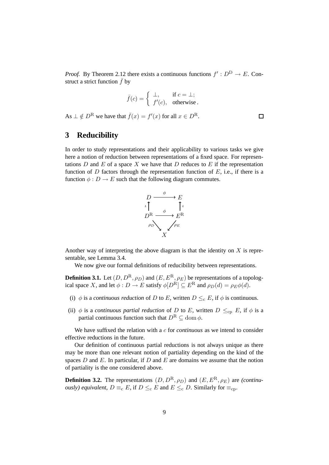*Proof.* By Theorem 2.12 there exists a continuous functions  $f' : D^D \to E$ . Construct a strict function  $\bar{f}$  by

$$
\bar{f}(c) = \begin{cases} \perp, & \text{if } c = \perp; \\ f'(c), & \text{otherwise.} \end{cases}
$$

 $\Box$ 

As  $\perp \notin D^{\mathcal{R}}$  we have that  $\bar{f}(x) = f'(x)$  for all  $x \in D^{\mathcal{R}}$ .

# **3 Reducibility**

In order to study representations and their applicability to various tasks we give here a notion of reduction between representations of a fixed space. For representations D and E of a space X we have that D reduces to E if the representation function of  $D$  factors through the representation function of  $E$ , i.e., if there is a function  $\phi : D \to E$  such that the following diagram commutes.



Another way of interpreting the above diagram is that the identity on  $X$  is representable, see Lemma 3.4.

We now give our formal definitions of reducibility between representations.

**Definition 3.1.** Let  $(D, D^R, \rho_D)$  and  $(E, E^R, \rho_E)$  be representations of a topological space X, and let  $\phi: D \to E$  satisfy  $\phi[D^R] \subseteq E^R$  and  $\rho_D(d) = \rho_E \phi(d)$ .

- (i)  $\phi$  is a *continuous reduction* of D to E, written  $D \leq_{c} E$ , if  $\phi$  is continuous.
- (ii)  $\phi$  is a *continuous partial reduction* of D to E, written  $D \leq_{\text{cp}} E$ , if  $\phi$  is a partial continuous function such that  $D^R \subset \text{dom } \phi$ .

We have suffixed the relation with a c for *continuous* as we intend to consider effective reductions in the future.

Our definition of continuous partial reductions is not always unique as there may be more than one relevant notion of partiality depending on the kind of the spaces  $D$  and  $E$ . In particular, if  $D$  and  $E$  are domains we assume that the notion of partiality is the one considered above.

**Definition 3.2.** The representations  $(D, D^R, \rho_D)$  and  $(E, E^R, \rho_E)$  are *(continuously) equivalent*,  $D \equiv_c E$ , if  $D \leq_c E$  and  $E \leq_c D$ . Similarly for  $\equiv_{\text{cp}}$ .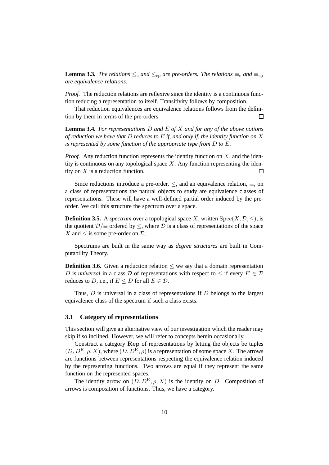**Lemma 3.3.** *The relations*  $\leq_c$  *and*  $\leq_{cp}$  *are pre-orders. The relations*  $\equiv_c$  *and*  $\equiv_{cp}$ *are equivalence relations.*

*Proof.* The reduction relations are reflexive since the identity is a continuous function reducing a representation to itself. Transitivity follows by composition.

That reduction equivalences are equivalence relations follows from the definition by them in terms of the pre-orders.  $\Box$ 

**Lemma 3.4.** *For representations* D *and* E *of* X *and for any of the above notions of reduction we have that* D *reduces to* E *if, and only if, the identity function on* X *is represented by some function of the appropriate type from* D *to* E*.*

*Proof.* Any reduction function represents the identity function on  $X$ , and the identity is continuous on any topological space  $X$ . Any function representing the identity on  $X$  is a reduction function.  $\Box$ 

Since reductions introduce a pre-order,  $\leq$ , and an equivalence relation,  $\equiv$ , on a class of representations the natural objects to study are equivalence classes of representations. These will have a well-defined partial order induced by the preorder. We call this structure the spectrum over a space.

**Definition 3.5.** A *spectrum* over a topological space X, written  $Spec(X, \mathcal{D}, \leq)$ , is the quotient  $D/\equiv$  ordered by  $\leq$ , where D is a class of representations of the space X and  $\leq$  is some pre-order on  $\mathcal{D}$ .

Spectrums are built in the same way as *degree structures* are built in Computability Theory.

**Definition 3.6.** Given a reduction relation  $\leq$  we say that a domain representation D is *universal* in a class D of representations with respect to  $\leq$  if every  $E \in \mathcal{D}$ reduces to D, i.e., if  $E \le D$  for all  $E \in \mathcal{D}$ .

Thus,  $D$  is universal in a class of representations if  $D$  belongs to the largest equivalence class of the spectrum if such a class exists.

### **3.1 Category of representations**

This section will give an alternative view of our investigation which the reader may skip if so inclined. However, we will refer to concepts herein occasionally.

Construct a category Rep of representations by letting the objects be tuples  $(D, D^R, \rho, X)$ , where  $(D, D^R, \rho)$  is a representation of some space X. The arrows are functions between representations respecting the equivalence relation induced by the representing functions. Two arrows are equal if they represent the same function on the represented spaces.

The identity arrow on  $(D, D^R, \rho, X)$  is the identity on D. Composition of arrows is composition of functions. Thus, we have a category.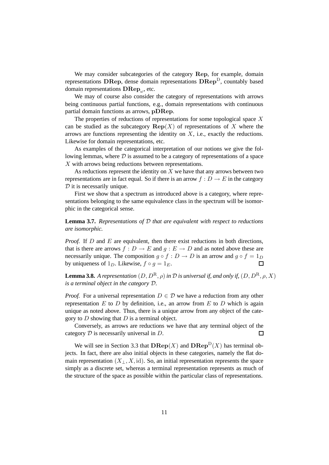We may consider subcategories of the category Rep, for example, domain representations DRep, dense domain representations  $D\text{Rep}^D$ , countably based domain representations  $\textbf{D}\textbf{R}\textbf{e}\textbf{p}_\omega$ , etc.

We may of course also consider the category of representations with arrows being continuous partial functions, e.g., domain representations with continuous partial domain functions as arrows, pDRep.

The properties of reductions of representations for some topological space  $X$ can be studied as the subcategory  $\mathbf{Rep}(X)$  of representations of X where the arrows are functions representing the identity on  $X$ , i.e., exactly the reductions. Likewise for domain representations, etc.

As examples of the categorical interpretation of our notions we give the following lemmas, where  $\mathcal D$  is assumed to be a category of representations of a space X with arrows being reductions between representations.

As reductions represent the identity on  $X$  we have that any arrows between two representations are in fact equal. So if there is an arrow  $f: D \to E$  in the category  $D$  it is necessarily unique.

First we show that a spectrum as introduced above is a category, where representations belonging to the same equivalence class in the spectrum will be isomorphic in the categorical sense.

**Lemma 3.7.** *Representations of* D *that are equivalent with respect to reductions are isomorphic.*

*Proof.* If D and E are equivalent, then there exist reductions in both directions, that is there are arrows  $f: D \to E$  and  $g: E \to D$  and as noted above these are necessarily unique. The composition  $g \circ f : D \to D$  is an arrow and  $g \circ f = 1_D$ by uniqueness of  $1_D$ . Likewise,  $f \circ q = 1_E$ .  $\Box$ 

**Lemma 3.8.** *A representation*  $(D, D^R, \rho)$  *in*  $D$  *is universal if, and only if,*  $(D, D^R, \rho, X)$ *is a terminal object in the category* D*.*

*Proof.* For a universal representation  $D \in \mathcal{D}$  we have a reduction from any other representation  $E$  to  $D$  by definition, i.e., an arrow from  $E$  to  $D$  which is again unique as noted above. Thus, there is a unique arrow from any object of the category to  $D$  showing that  $D$  is a terminal object.

Conversely, as arrows are reductions we have that any terminal object of the category  $D$  is necessarily universal in  $D$ . □

We will see in Section 3.3 that  $\mathbf{DRep}(X)$  and  $\mathbf{DRep}^D(X)$  has terminal objects. In fact, there are also initial objects in these categories, namely the flat domain representation  $(X_+, X, id)$ . So, an initial representation represents the space simply as a discrete set, whereas a terminal representation represents as much of the structure of the space as possible within the particular class of representations.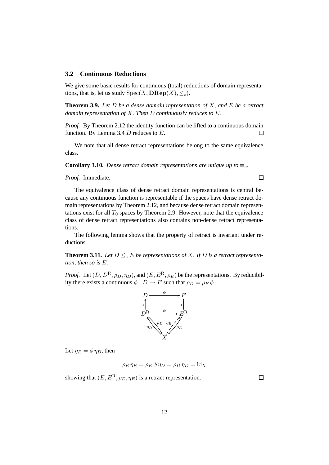### **3.2 Continuous Reductions**

We give some basic results for continuous (total) reductions of domain representations, that is, let us study  $Spec(X, \mathbf{DRep}(X), \leq_c)$ .

**Theorem 3.9.** *Let* D *be a dense domain representation of* X*, and* E *be a retract domain representation of* X*. Then* D *continuously reduces to* E*.*

*Proof.* By Theorem 2.12 the identity function can be lifted to a continuous domain function. By Lemma 3.4  $D$  reduces to  $E$ . □

We note that all dense retract representations belong to the same equivalence class.

**Corollary 3.10.** *Dense retract domain representations are unique up to*  $\equiv_c$ *.* 

*Proof.* Immediate.

 $\Box$ 

The equivalence class of dense retract domain representations is central because any continuous function is representable if the spaces have dense retract domain representations by Theorem 2.12, and because dense retract domain representations exist for all  $T_0$  spaces by Theorem 2.9. However, note that the equivalence class of dense retract representations also contains non-dense retract representations.

The following lemma shows that the property of retract is invariant under reductions.

**Theorem 3.11.** Let  $D \leq_{c} E$  be representations of X. If D is a retract representa*tion, then so is* E*.*

*Proof.* Let  $(D, D^R, \rho_D, \eta_D)$ , and  $(E, E^R, \rho_E)$  be the representations. By reducibility there exists a continuous  $\phi : D \to E$  such that  $\rho_D = \rho_E \phi$ .



Let  $\eta_E = \phi \eta_D$ , then

$$
\rho_E \eta_E = \rho_E \phi \eta_D = \rho_D \eta_D = id_X
$$

showing that  $(E, E^R, \rho_E, \eta_E)$  is a retract representation.

 $\Box$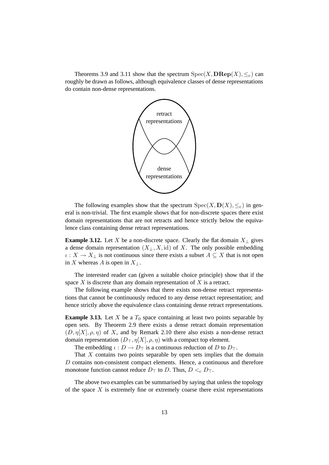Theorems 3.9 and 3.11 show that the spectrum  $Spec(X, \mathbf{DRep}(X), \leq_c)$  can roughly be drawn as follows, although equivalence classes of dense representations do contain non-dense representations.



The following examples show that the spectrum  $Spec(X, D(X), \leq_c)$  in general is non-trivial. The first example shows that for non-discrete spaces there exist domain representations that are not retracts and hence strictly below the equivalence class containing dense retract representations.

**Example 3.12.** Let X be a non-discrete space. Clearly the flat domain  $X_{\perp}$  gives a dense domain representation  $(X_{\perp}, X, id)$  of X. The only possible embedding  $\iota: X \to X_{\perp}$  is not continuous since there exists a subset  $A \subseteq X$  that is not open in X whereas A is open in  $X_{\perp}$ .

The interested reader can (given a suitable choice principle) show that if the space  $X$  is discrete than any domain representation of  $X$  is a retract.

The following example shows that there exists non-dense retract representations that cannot be continuously reduced to any dense retract representation; and hence strictly above the equivalence class containing dense retract representations.

**Example 3.13.** Let X be a  $T_0$  space containing at least two points separable by open sets. By Theorem 2.9 there exists a dense retract domain representation  $(D, \eta[X], \rho, \eta)$  of X, and by Remark 2.10 there also exists a non-dense retract domain representation  $(D_{\top}, \eta[X], \rho, \eta)$  with a compact top element.

The embedding  $\iota : D \to D_{\top}$  is a continuous reduction of D to  $D_{\top}$ .

That  $X$  contains two points separable by open sets implies that the domain D contains non-consistent compact elements. Hence, a continuous and therefore monotone function cannot reduce  $D_{\top}$  to D. Thus,  $D \lt_c D_{\top}$ .

The above two examples can be summarised by saying that unless the topology of the space  $X$  is extremely fine or extremely coarse there exist representations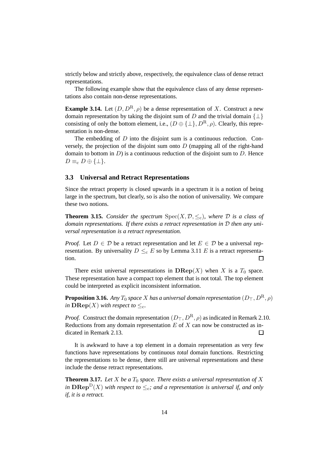strictly below and strictly above, respectively, the equivalence class of dense retract representations.

The following example show that the equivalence class of any dense representations also contain non-dense representations.

**Example 3.14.** Let  $(D, D^R, \rho)$  be a dense representation of X. Construct a new domain representation by taking the disjoint sum of D and the trivial domain  $\{\perp\}$ consisting of only the bottom element, i.e.,  $(D \oplus {\{\perp\}}, D^R, \rho)$ . Clearly, this representation is non-dense.

The embedding of  $D$  into the disjoint sum is a continuous reduction. Conversely, the projection of the disjoint sum onto  $D$  (mapping all of the right-hand domain to bottom in  $D$ ) is a continuous reduction of the disjoint sum to  $D$ . Hence  $D \equiv_{\rm c} D \oplus \{\perp\}.$ 

# **3.3 Universal and Retract Representations**

Since the retract property is closed upwards in a spectrum it is a notion of being large in the spectrum, but clearly, so is also the notion of universality. We compare these two notions.

**Theorem 3.15.** *Consider the spectrum*  $Spec(X, \mathcal{D}, \leq_c)$ *, where*  $\mathcal D$  *is a class of* domain representations. If there exists a retract representation in D then any uni*versal representation is a retract representation.*

*Proof.* Let  $D \in \mathcal{D}$  be a retract representation and let  $E \in \mathcal{D}$  be a universal representation. By universality  $D \leq_c E$  so by Lemma 3.11 E is a retract representation.  $\Box$ 

There exist universal representations in  $\mathbf{DRep}(X)$  when X is a  $T_0$  space. These representation have a compact top element that is not total. The top element could be interpreted as explicit inconsistent information.

**Proposition 3.16.** *Any*  $T_0$  *space*  $X$  *has a universal domain representation*  $(D_\top, D^R, \rho)$ *in*  $\mathbf{D} \mathbf{Rep}(X)$  *with respect to*  $\leq_c$ *.* 

*Proof.* Construct the domain representation  $(D_\top, D^R, \rho)$  as indicated in Remark 2.10. Reductions from any domain representation  $E$  of  $X$  can now be constructed as indicated in Remark 2.13.  $\Box$ 

It is awkward to have a top element in a domain representation as very few functions have representations by continuous *total* domain functions. Restricting the representations to be dense, there still are universal representations and these include the dense retract representations.

**Theorem 3.17.** Let  $X$  be a  $T_0$  space. There exists a universal representation of  $X$ *in*  $\mathbf{DRep}^D(X)$  *with respect to*  $\leq_c$ *; and a representation is universal if, and only if, it is a retract.*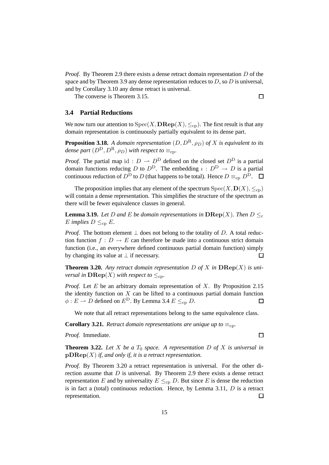*Proof.* By Theorem 2.9 there exists a dense retract domain representation D of the space and by Theorem 3.9 any dense representation reduces to  $D$ , so  $D$  is universal, and by Corollary 3.10 any dense retract is universal.

The converse is Theorem 3.15.

 $\Box$ 

# **3.4 Partial Reductions**

We now turn our attention to  $Spec(X, \mathbf{DRep}(X), \leq_{cp})$ . The first result is that any domain representation is continuously partially equivalent to its dense part.

**Proposition 3.18.** *A domain representation*  $(D, D^R, \rho_D)$  *of* X *is equivalent to its dense part*  $(D^D, D^R, \rho_D)$  *with respect to*  $\equiv_{\rm cp}$ *.* 

*Proof.* The partial map id :  $D \rightharpoonup D^D$  defined on the closed set  $D^D$  is a partial domain functions reducing D to  $D^D$ . The embedding  $\iota : D^D \to D$  is a partial continuous reduction of  $D^{\overline{D}}$  to D (that happens to be total). Hence  $D \equiv_{cn} D^{\overline{D}}$ .  $\Box$ 

The proposition implies that any element of the spectrum  $Spec(X, D(X), \leq_{cp})$ will contain a dense representation. This simplifies the structure of the spectrum as there will be fewer equivalence classes in general.

**Lemma 3.19.** Let D and E be domain representations in  $\mathbf{DRep}(X)$ . Then  $D \leq_c$ E *implies*  $D \leq_{cp} E$ *.* 

*Proof.* The bottom element  $\perp$  does not belong to the totality of D. A total reduction function  $f: D \to E$  can therefore be made into a continuous strict domain function (i.e., an everywhere defined continuous partial domain function) simply by changing its value at  $\perp$  if necessary. П

**Theorem 3.20.** Any retract domain representation D of X in  $\mathbf{DRep}(X)$  is uni*versal in*  $\mathbf{DRep}(X)$  *with respect to*  $\leq_{\text{cn}}$ *.* 

*Proof.* Let E be an arbitrary domain representation of X. By Proposition 2.15 the identity function on  $X$  can be lifted to a continuous partial domain function  $\phi: E \to D$  defined on  $E^D$ . By Lemma 3.4  $E \leq_{cp} D$ .  $\Box$ 

We note that all retract representations belong to the same equivalence class.

**Corollary 3.21.** *Retract domain representations are unique up to*  $\equiv_{\rm cp}$ *.* 

*Proof.* Immediate.

 $\Box$ 

**Theorem 3.22.** Let X be a  $T_0$  space. A representation D of X is universal in pDRep(X) *if, and only if, it is a retract representation.*

*Proof.* By Theorem 3.20 a retract representation is universal. For the other direction assume that  $D$  is universal. By Theorem 2.9 there exists a dense retract representation E and by universality  $E \leq_{\rm cp} D$ . But since E is dense the reduction is in fact a (total) continuous reduction. Hence, by Lemma 3.11,  $D$  is a retract representation.  $\Box$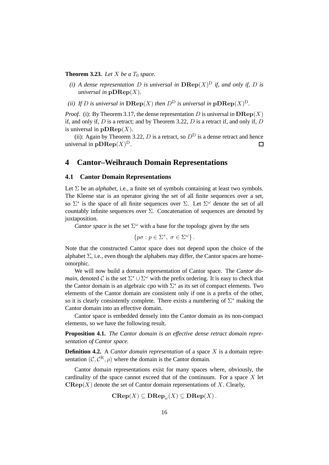**Theorem 3.23.** Let X be a  $T_0$  space.

- *(i)* A dense representation D is universal in  $\mathbf{DRep}(X)^D$  if, and only if, D is *universal in*  $\mathbf{pDRep}(X)$ *.*
- *(ii)* If D is universal in  $\mathbf{DRep}(X)$  then  $D^D$  is universal in  $\mathbf{pDRep}(X)^D$ .

*Proof.* (i): By Theorem 3.17, the dense representation D is universal in  $\mathbf{DRep}(X)$ if, and only if,  $D$  is a retract; and by Theorem 3.22,  $D$  is a retract if, and only if,  $D$ is universal in  $\mathbf{pDRep}(X)$ .

(ii): Again by Theorem 3.22, D is a retract, so  $D<sup>D</sup>$  is a dense retract and hence universal in  $\mathbf{pDRep}(X)^{\mathcal{D}}$ . П

# **4 Cantor–Weihrauch Domain Representations**

# **4.1 Cantor Domain Representations**

Let  $\Sigma$  be an *alphabet*, i.e., a finite set of symbols containing at least two symbols. The Kleene star is an operator giving the set of all finite sequences over a set, so  $\Sigma^*$  is the space of all finite sequences over  $\Sigma$ . Let  $\Sigma^{\omega}$  denote the set of all countably infinite sequences over Σ. Concatenation of sequences are denoted by juxtaposition.

*Cantor space* is the set  $\Sigma^{\omega}$  with a base for the topology given by the sets

$$
\{p\sigma : p \in \Sigma^*, \ \sigma \in \Sigma^\omega\}.
$$

Note that the constructed Cantor space does not depend upon the choice of the alphabet  $\Sigma$ , i.e., even though the alphabets may differ, the Cantor spaces are homeomorphic.

We will now build a domain representation of Cantor space. The *Cantor domain*, denoted C is the set  $\Sigma^* \cup \Sigma^\omega$  with the prefix ordering. It is easy to check that the Cantor domain is an algebraic cpo with  $\sum^*$  as its set of compact elements. Two elements of the Cantor domain are consistent only if one is a prefix of the other, so it is clearly consistently complete. There exists a numbering of  $\Sigma^*$  making the Cantor domain into an effective domain.

Cantor space is embedded densely into the Cantor domain as its non-compact elements, so we have the following result.

**Proposition 4.1.** *The Cantor domain is an effective dense retract domain representation of Cantor space.*

**Definition 4.2.** A *Cantor domain representation* of a space X is a domain representation  $(C, C^R, \rho)$  where the domain is the Cantor domain.

Cantor domain representations exist for many spaces where, obviously, the cardinality of the space cannot exceed that of the continuum. For a space  $X$  let  $\mathbf{CRep}(X)$  denote the set of Cantor domain representations of X. Clearly,

$$
\mathbf{CRep}(X) \subseteq \mathbf{DRep}_{\omega}(X) \subseteq \mathbf{DRep}(X).
$$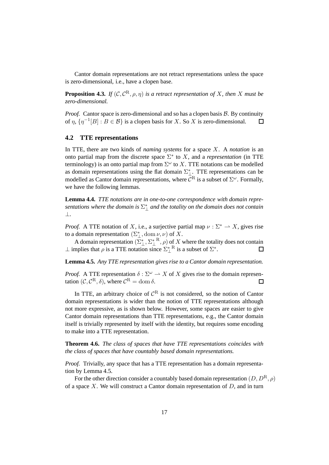Cantor domain representations are not retract representations unless the space is zero-dimensional, i.e., have a clopen base.

**Proposition 4.3.** *If*  $(C, C^R, \rho, \eta)$  *is a retract representation of* X, then X must be *zero-dimensional.*

*Proof.* Cantor space is zero-dimensional and so has a clopen basis  $\beta$ . By continuity of  $\eta$ ,  $\{\eta^{-1}[B]: B \in \mathcal{B}\}$  is a clopen basis for X. So X is zero-dimensional.  $\Box$ 

### **4.2 TTE representations**

In TTE, there are two kinds of *naming systems* for a space X. A *notation* is an onto partial map from the discrete space  $\Sigma^*$  to X, and a *representation* (in TTE terminology) is an onto partial map from  $\Sigma^{\omega}$  to X. TTE notations can be modelled as domain representations using the flat domain  $\Sigma_{\perp}^*$ . TTE representations can be modelled as Cantor domain representations, where  $\mathcal{C}^R$  is a subset of  $\Sigma^\omega$ . Formally, we have the following lemmas.

**Lemma 4.4.** *TTE notations are in one-to-one correspondence with domain repre* $s$ entations where the domain is  $\Sigma_{\perp}^*$  and the totality on the domain does not contain ⊥*.*

*Proof.* A TTE notation of X, i.e., a surjective partial map  $\nu : \Sigma^* \to X$ , gives rise to a domain representation  $(\Sigma_{\perp}^*, \text{dom }\nu, \nu)$  of X.

A domain representation  $(\overline{\Sigma}_{\perp}^*, \Sigma_{\perp}^*, \overline{P}, \rho)$  of X where the totality does not contain  $⊥$  implies that  $\rho$  is a TTE notation since  $\Sigma_{\perp}^*$ <sup>R</sup> is a subset of  $\Sigma^*$ .

**Lemma 4.5.** *Any TTE representation gives rise to a Cantor domain representation.*

*Proof.* A TTE representation  $\delta : \Sigma^{\omega} \to X$  of X gives rise to the domain representation  $(C, C^R, \delta)$ , where  $C^R = \text{dom }\delta$ .  $\Box$ 

In TTE, an arbitrary choice of  $\mathcal{C}^R$  is not considered, so the notion of Cantor domain representations is wider than the notion of TTE representations although not more expressive, as is shown below. However, some spaces are easier to give Cantor domain representations than TTE representations, e.g., the Cantor domain itself is trivially represented by itself with the identity, but requires some encoding to make into a TTE representation.

**Theorem 4.6.** *The class of spaces that have TTE representations coincides with the class of spaces that have countably based domain representations.*

*Proof.* Trivially, any space that has a TTE representation has a domain representation by Lemma 4.5.

For the other direction consider a countably based domain representation  $(D, D^R, \rho)$ of a space X. We will construct a Cantor domain representation of  $D$ , and in turn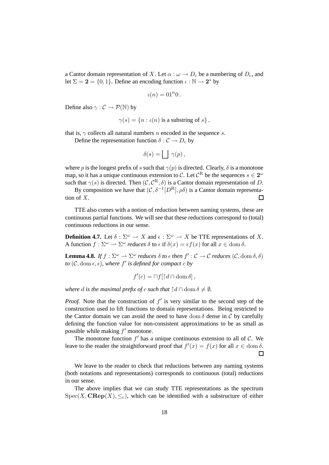a Cantor domain representation of X. Let  $\alpha : \omega \to D_c$  be a numbering of  $D_c$ , and let  $\Sigma = 2 = \{0, 1\}$ . Define an encoding function  $\iota : \mathbb{N} \to 2^*$  by

$$
\iota(n)=01^n0.
$$

Define also  $\gamma : \mathcal{C} \to \mathcal{P}(\mathbb{N})$  by

$$
\gamma(s) = \{ n : \iota(n) \text{ is a substring of } s \},
$$

that is,  $\gamma$  collects all natural numbers n encoded in the sequence s.

Define the representation function  $\delta : C \to D_c$  by

$$
\delta(s) = \bigsqcup \ \gamma(p) \,,
$$

where p is the longest prefix of s such that  $\gamma(p)$  is directed. Clearly,  $\delta$  is a monotone map, so it has a unique continuous extension to C. Let  $\mathcal{C}^{\text{R}}$  be the sequences  $s \in 2^{\omega}$ such that  $\gamma(s)$  is directed. Then  $(C, \mathcal{C}^{R}, \delta)$  is a Cantor domain representation of D.

By composition we have that  $(C, \delta^{-1}[D^R], \rho\delta)$  is a Cantor domain representation of X.  $\Box$ 

TTE also comes with a notion of reduction between naming systems, these are continuous partial functions. We will see that these reductions correspond to (total) continuous reductions in our sense.

**Definition 4.7.** Let  $\delta : \Sigma^{\omega} \to X$  and  $\epsilon : \Sigma^{\omega} \to X$  be TTE representations of X. A function  $f: \Sigma^{\omega} \to \Sigma^{\omega}$  *reduces*  $\delta$  to  $\epsilon$  if  $\delta(x) = \epsilon f(x)$  for all  $x \in \text{dom } \delta$ .

**Lemma 4.8.** *If*  $f : \Sigma^{\omega} \to \Sigma^{\omega}$  *reduces*  $\delta$  *to*  $\epsilon$  *then*  $f' : C \to C$  *reduces*  $(C, \text{dom } \delta, \delta)$ *to*  $(C, \text{dom } \epsilon, \epsilon)$ , where  $f'$  is defined for compact  $\epsilon$  by

$$
f'(c) = \sqcap f[\uparrow d \cap \text{dom } \delta],
$$

*where* d *is the maximal prefix of* c *such that*  $\uparrow d \cap \text{dom } \delta \neq \emptyset$ .

*Proof.* Note that the construction of  $f'$  is very similar to the second step of the construction used to lift functions to domain representations. Being restricted to the Cantor domain we can avoid the need to have dom  $\delta$  dense in C by carefully defining the function value for non-consistent approximations to be as small as possible while making  $f'$  monotone.

The monotone function  $f'$  has a unique continuous extension to all of  $\mathcal{C}$ . We leave to the reader the straightforward proof that  $f'(x) = f(x)$  for all  $x \in \text{dom } \delta$ .

 $\Box$ 

We leave to the reader to check that reductions between any naming systems (both notations and representations) corresponds to continuous (total) reductions in our sense.

The above implies that we can study TTE representations as the spectrum  $Spec(X, \mathbf{CRep}(X), \leq_c)$ , which can be identified with a substructure of either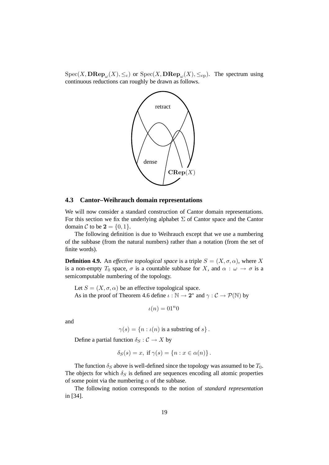$Spec(X, \mathbf{DRep}_{\omega}(X), \leq_c)$  or  $Spec(X, \mathbf{DRep}_{\omega}(X), \leq_{cp})$ . The spectrum using continuous reductions can roughly be drawn as follows.



## **4.3 Cantor–Weihrauch domain representations**

We will now consider a standard construction of Cantor domain representations. For this section we fix the underlying alphabet  $\Sigma$  of Cantor space and the Cantor domain C to be  $2 = \{0, 1\}.$ 

The following definition is due to Weihrauch except that we use a numbering of the subbase (from the natural numbers) rather than a notation (from the set of finite words).

**Definition 4.9.** An *effective topological space* is a triple  $S = (X, \sigma, \alpha)$ , where X is a non-empty  $T_0$  space,  $\sigma$  is a countable subbase for X, and  $\alpha : \omega \to \sigma$  is a semicomputable numbering of the topology.

Let  $S = (X, \sigma, \alpha)$  be an effective topological space. As in the proof of Theorem 4.6 define  $\iota : \mathbb{N} \to \mathbf{2}^*$  and  $\gamma : \mathcal{C} \to \mathcal{P}(\mathbb{N})$  by

$$
\iota(n) = 01^n 0
$$

and

 $\gamma(s) = \{n : \iota(n) \text{ is a substring of } s\}.$ 

Define a partial function  $\delta_S : \mathcal{C} \to X$  by

$$
\delta_S(s) = x, \text{ if } \gamma(s) = \{n : x \in \alpha(n)\}.
$$

The function  $\delta_S$  above is well-defined since the topology was assumed to be  $T_0$ . The objects for which  $\delta_S$  is defined are sequences encoding all atomic properties of some point via the numbering  $\alpha$  of the subbase.

The following notion corresponds to the notion of *standard representation* in [34].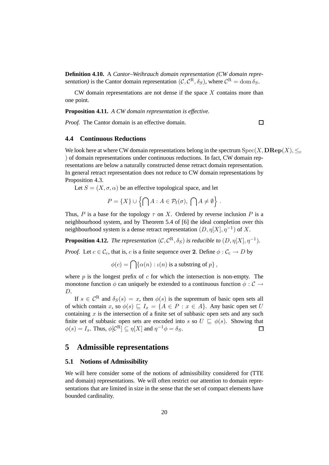**Definition 4.10.** A *Cantor–Weihrauch domain representation (CW domain representation*) is the Cantor domain representation  $(C, \mathcal{C}^{R}, \delta_{S})$ , where  $\mathcal{C}^{R} = \text{dom }\delta_{S}$ .

CW domain representations are not dense if the space  $X$  contains more than one point.

**Proposition 4.11.** *A CW domain representation is effective.*

*Proof.* The Cantor domain is an effective domain.

 $\Box$ 

# **4.4 Continuous Reductions**

We look here at where CW domain representations belong in the spectrum  $Spec(X, \mathbf{DRep}(X), \leq_c$ ) of domain representations under continuous reductions. In fact, CW domain representations are below a naturally constructed dense retract domain representation. In general retract representation does not reduce to CW domain representations by Proposition 4.3.

Let  $S = (X, \sigma, \alpha)$  be an effective topological space, and let

$$
P = \{X\} \cup \left\{ \bigcap A : A \in \mathcal{P}_{f}(\sigma), \bigcap A \neq \emptyset \right\}.
$$

Thus, P is a base for the topology  $\tau$  on X. Ordered by reverse inclusion P is a neighbourhood system, and by Theorem 5.4 of [6] the ideal completion over this neighbourhood system is a dense retract representation  $(D, \eta[X], \eta^{-1})$  of X.

**Proposition 4.12.** *The representation*  $(C, C^R, \delta_S)$  *is reducible to*  $(D, \eta[X], \eta^{-1})$ *.* 

*Proof.* Let  $c \in \mathcal{C}_c$ , that is, c is a finite sequence over 2. Define  $\phi : \mathcal{C}_c \to D$  by

 $\phi(c) = \bigcap \{ \alpha(n) : \iota(n) \text{ is a substring of } p \},$ 

where  $p$  is the longest prefix of  $c$  for which the intersection is non-empty. The monotone function  $\phi$  can uniquely be extended to a continuous function  $\phi : \mathcal{C} \to$ D.

If  $s \in C^R$  and  $\delta_S(s) = x$ , then  $\phi(s)$  is the supremum of basic open sets all of which contain x, so  $\phi(s) \sqsubseteq I_x = \{A \in P : x \in A\}$ . Any basic open set U containing  $x$  is the intersection of a finite set of subbasic open sets and any such finite set of subbasic open sets are encoded into s so  $U \subseteq \phi(s)$ . Showing that  $\phi(s) = I_x$ . Thus,  $\phi[\mathcal{C}^R] \subseteq \eta[X]$  and  $\eta^{-1}\phi = \delta_S$ .  $\Box$ 

# **5 Admissible representations**

### **5.1 Notions of Admissibility**

We will here consider some of the notions of admissibility considered for (TTE and domain) representations. We will often restrict our attention to domain representations that are limited in size in the sense that the set of compact elements have bounded cardinality.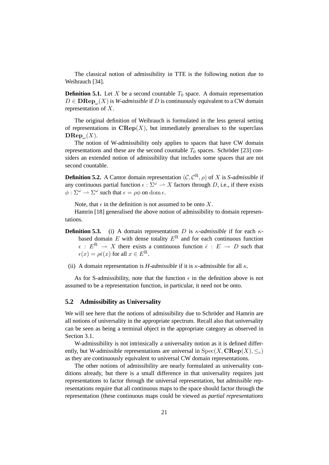The classical notion of admissibility in TTE is the following notion due to Weihrauch [34].

**Definition 5.1.** Let X be a second countable  $T_0$  space. A domain representation  $D \in \mathbf{DRep}_{\omega}(X)$  is *W-admissible* if *D* is continuously equivalent to a CW domain representation of X.

The original definition of Weihrauch is formulated in the less general setting of representations in  $\mathbf{CRep}(X)$ , but immediately generalises to the superclass  $\mathbf{DRep}_{\omega}(X)$ .

The notion of W-admissibility only applies to spaces that have CW domain representations and these are the second countable  $T_0$  spaces. Schröder [23] considers an extended notion of admissibility that includes some spaces that are not second countable.

**Definition 5.2.** A Cantor domain representation  $(C, C^R, \rho)$  of X is *S-admissible* if any continuous partial function  $\epsilon : \Sigma^{\omega} \to X$  factors through D, i.e., if there exists  $\phi : \Sigma^{\omega} \longrightarrow \Sigma^{\omega}$  such that  $\epsilon = \rho \phi$  on dom  $\epsilon$ .

Note, that  $\epsilon$  in the definition is not assumed to be onto X.

Hamrin [18] generalised the above notion of admissibility to domain representations.

- **Definition 5.3.** (i) A domain representation D is  $\kappa$ -*admissible* if for each  $\kappa$ based domain  $E$  with dense totality  $E^R$  and for each continuous function  $\epsilon$  :  $E^{R} \rightarrow X$  there exists a continuous function  $\bar{\epsilon}$  :  $E \rightarrow D$  such that  $\epsilon(x) = \rho \bar{\epsilon}(x)$  for all  $x \in E^R$ .
- (ii) A domain representation is *H-admissible* if it is  $\kappa$ -admissible for all  $\kappa$ .

As for S-admissibility, note that the function  $\epsilon$  in the definition above is not assumed to be a representation function, in particular, it need not be onto.

#### **5.2 Admissibility as Universality**

We will see here that the notions of admissibility due to Schröder and Hamrin are all notions of universality in the appropriate spectrum. Recall also that universality can be seen as being a terminal object in the appropriate category as observed in Section 3.1.

W-admissibility is not intrinsically a universality notion as it is defined differently, but W-admissible representations are universal in  $Spec(X, \mathbf{CRep}(X), \leq_c)$ as they are continuously equivalent to universal CW domain representations.

The other notions of admissibility are nearly formulated as universality conditions already, but there is a small difference in that universality requires just representations to factor through the universal representation, but admissible representations require that all continuous maps to the space should factor through the representation (these continuous maps could be viewed as *partial representations*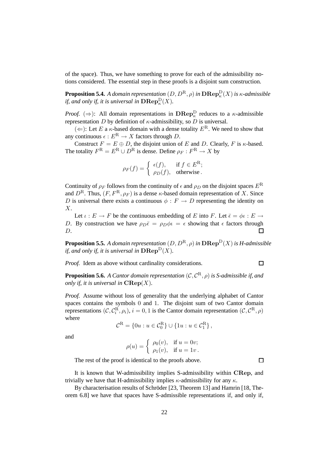of the space). Thus, we have something to prove for each of the admissibility notions considered. The essential step in these proofs is a disjoint sum construction.

**Proposition 5.4.** A domain representation  $(D, D^{\text{R}}, \rho)$  in  $\mathbf{D}\mathbf{Rep}^{\text{D}}_{\kappa}(X)$  is  $\kappa$ -admissible *if, and only if, it is universal in*  $\mathbf{DRep}_{\kappa}^{\mathcal{D}}(X)$ *.* 

*Proof.*  $(\Rightarrow)$ : All domain representations in  $\mathbf{DRep}_{\kappa}^{\mathbf{D}}$  reduces to a  $\kappa$ -admissible representation D by definition of  $\kappa$ -admissibility, so D is universal.

 $(\Leftarrow)$ : Let E a  $\kappa$ -based domain with a dense totality  $E^R$ . We need to show that any continuous  $\epsilon : E^R \to X$  factors through D.

Construct  $F = E \oplus D$ , the disjoint union of E and D. Clearly, F is  $\kappa$ -based. The totality  $F^{R} = E^{R} \cup D^{R}$  is dense. Define  $\rho_{F} : F^{R} \to X$  by

$$
\rho_F(f) = \begin{cases} \epsilon(f), & \text{if } f \in E^R; \\ \rho_D(f), & \text{otherwise.} \end{cases}
$$

Continuity of  $\rho_F$  follows from the continuity of  $\epsilon$  and  $\rho_D$  on the disjoint spaces  $E^R$ and  $D^R$ . Thus,  $(F, F^R, \rho_F)$  is a dense  $\kappa$ -based domain representation of X. Since D is universal there exists a continuous  $\phi : F \to D$  representing the identity on X.

Let  $\iota : E \to F$  be the continuous embedding of E into F. Let  $\overline{\epsilon} = \phi \iota : E \to$ D. By construction we have  $\rho_D \bar{\epsilon} = \rho_D \phi \bar{\epsilon} = \epsilon$  showing that  $\epsilon$  factors through D.

**Proposition 5.5.** *A domain representation*  $(D, D^R, \rho)$  *in*  $\mathbf{DRep}^D(X)$  *is H-admissible if, and only if, it is universal in*  $\mathbf{DRep}^D(X)$ *.* 

*Proof.* Idem as above without cardinality considerations.

**Proposition 5.6.** *A Cantor domain representation* (C, C <sup>R</sup>, ρ) *is S-admissible if, and only if, it is universal in*  $\mathbf{CRep}(X)$ *.* 

*Proof.* Assume without loss of generality that the underlying alphabet of Cantor spaces contains the symbols 0 and 1. The disjoint sum of two Cantor domain representations  $(C, C_i^R, \rho_i), i = 0, 1$  is the Cantor domain representation  $(C, C^R, \rho)$ where

$$
\mathcal{C}^{\mathcal{R}} = \{ 0u : u \in \mathcal{C}_0^{\mathcal{R}} \} \cup \{ 1u : u \in \mathcal{C}_1^{\mathcal{R}} \},
$$

and

$$
\rho(u) = \begin{cases} \rho_0(v), & \text{if } u = 0v; \\ \rho_1(v), & \text{if } u = 1v. \end{cases}
$$

The rest of the proof is identical to the proofs above.

 $\Box$ 

 $\Box$ 

It is known that W-admissibility implies S-admissibility within CRep, and trivially we have that H-admissibility implies  $\kappa$ -admissibility for any  $\kappa$ .

By characterisation results of Schröder  $[23,$  Theorem 13] and Hamrin  $[18,$  Theorem 6.8] we have that spaces have S-admissible representations if, and only if,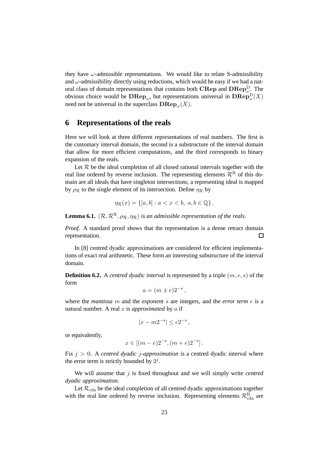they have  $\omega$ -admissible representations. We would like to relate S-admissibility and  $\omega$ -admissibility directly using reductions, which would be easy if we had a natural class of domain representations that contains both  $\mathbf{CRep}$  and  $\mathbf{DRep}^{\mathbf{D}}_{\omega}$ . The obvious choice would be  $\mathbf{D}\mathbf{Rep}_{\omega}$ , but representations universal in  $\mathbf{D}\mathbf{Rep}^{\mathbf{D}}_{\omega}(X)$ need not be universal in the superclass  $\mathbf{D}\mathbf{Rep}_{\omega}(X)$ .

# **6 Representations of the reals**

Here we will look at three different representations of real numbers. The first is the customary interval domain, the second is a substructure of the interval domain that allow for more efficient computations, and the third corresponds to binary expansion of the reals.

Let  $R$  be the ideal completion of all closed rational intervals together with the real line ordered by reverse inclusion. The representing elements  $\mathcal{R}^R$  of this domain are all ideals that have singleton intersections; a representing ideal is mapped by  $\rho_R$  to the single element of its intersection. Define  $\eta_R$  by

$$
\eta_{\mathcal{R}}(x) = \{ [a, b] : a < x < b, \ a, b \in \mathbb{Q} \} \, .
$$

**Lemma 6.1.**  $(\mathcal{R}, \mathcal{R}^R, \rho_{\mathcal{R}}, \eta_{\mathcal{R}})$  *is an admissible representation of the reals.* 

*Proof.* A standard proof shows that the representation is a dense retract domain representation.  $\Box$ 

In [8] centred dyadic approximations are considered for efficient implementations of exact real arithmetic. These form an interesting substructure of the interval domain.

**Definition 6.2.** A *centred dyadic interval* is represented by a triple (m, e, s) of the form

$$
a = (m \pm e)2^{-s},
$$

where the *mantissa* m and the *exponent* s are integers, and the *error term* e is a natural number. A real x is *approximated* by a if

$$
|x - m2^{-s}| \le e2^{-s},
$$

or equivalently,

$$
x \in [(m-e)2^{-s}, (m+e)2^{-s}].
$$

Fix j > 0. A *centred dyadic* j*-approximation* is a centred dyadic interval where the error term is strictly bounded by  $2^j$ .

We will assume that j is fixed throughout and we will simply write *centred dyadic approximation*.

Let  $\mathcal{R}_{\text{cda}}$  be the ideal completion of all centred dyadic approximations together with the real line ordered by reverse inclusion. Representing elements  $\mathcal{R}^R_{\text{cda}}$  are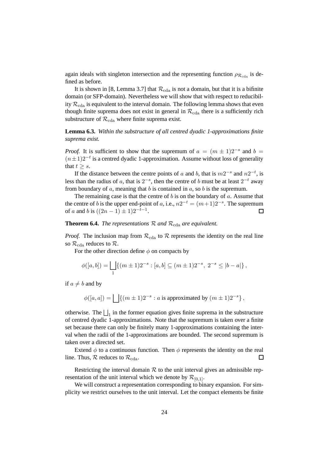again ideals with singleton intersection and the representing function  $\rho_{\mathcal{R}_{\text{cda}}}$  is defined as before.

It is shown in [8, Lemma 3.7] that  $\mathcal{R}_{\text{cda}}$  is not a domain, but that it is a bifinite domain (or SFP-domain). Nevertheless we will show that with respect to reducibility  $\mathcal{R}_{\text{cda}}$  is equivalent to the interval domain. The following lemma shows that even though finite suprema does not exist in general in  $\mathcal{R}_{\text{cda}}$  there is a sufficiently rich substructure of  $\mathcal{R}_{\text{cda}}$  where finite suprema exist.

**Lemma 6.3.** *Within the substructure of all centred dyadic 1-approximations finite suprema exist.*

*Proof.* It is sufficient to show that the supremum of  $a = (m \pm 1)2^{-s}$  and  $b =$  $(n+1)2^{-t}$  is a centred dyadic 1-approximation. Assume without loss of generality that  $t > s$ .

If the distance between the centre points of a and b, that is  $m2^{-s}$  and  $n2^{-t}$ , is less than the radius of a, that is  $2^{-s}$ , then the centre of b must be at least  $2^{-t}$  away from boundary of  $a$ , meaning that  $b$  is contained in  $a$ , so  $b$  is the supremum.

The remaining case is that the centre of  $b$  is on the boundary of  $a$ . Assume that the centre of b is the upper end-point of a, i.e.,  $n2^{-t} = (m+1)2^{-s}$ . The supremum of *a* and *b* is  $((2n - 1) \pm 1)2^{-t-1}$ .  $\Box$ 

**Theorem 6.4.** *The representations*  $\mathcal{R}$  *and*  $\mathcal{R}_{\text{cda}}$  *are equivalent.* 

*Proof.* The inclusion map from  $\mathcal{R}_{\text{cda}}$  to  $\mathcal R$  represents the identity on the real line so  $\mathcal{R}_{\text{cda}}$  reduces to  $\mathcal{R}$ .

For the other direction define  $\phi$  on compacts by

$$
\phi([a,b]) = \bigsqcup_1 \{ (m \pm 1)2^{-s} : [a,b] \subseteq (m \pm 1)2^{-s}, 2^{-s} \le |b-a| \},\
$$

if  $a \neq b$  and by

$$
\phi([a, a]) = \bigsqcup \{ (m \pm 1)2^{-s} : a \text{ is approximated by } (m \pm 1)2^{-s} \},
$$

otherwise. The  $\bigsqcup_1$  in the former equation gives finite suprema in the substructure of centred dyadic 1-approximations. Note that the supremum is taken over a finite set because there can only be finitely many 1-approximations containing the interval when the radii of the 1-approximations are bounded. The second supremum is taken over a directed set.

Extend  $\phi$  to a continuous function. Then  $\phi$  represents the identity on the real line. Thus,  $\mathcal{R}$  reduces to  $\mathcal{R}_{\text{cda}}$ . □

Restricting the interval domain  $R$  to the unit interval gives an admissible representation of the unit interval which we denote by  $\mathcal{R}_{[0,1]}$ .

We will construct a representation corresponding to binary expansion. For simplicity we restrict ourselves to the unit interval. Let the compact elements be finite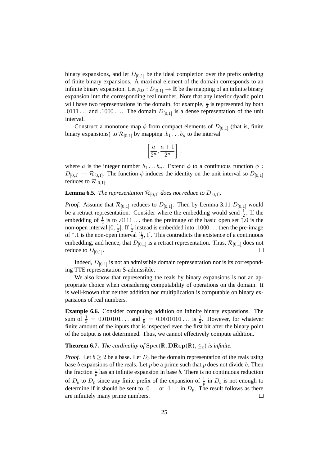binary expansions, and let  $D_{[0,1]}$  be the ideal completion over the prefix ordering of finite binary expansions. A maximal element of the domain corresponds to an infinite binary expansion. Let  $\rho_D : D_{[0,1]} \to \mathbb{R}$  be the mapping of an infinite binary expansion into the corresponding real number. Note that any interior dyadic point will have two representations in the domain, for example,  $\frac{1}{2}$  is represented by both .0111 . . . and .1000 . . . The domain  $D_{[0,1]}$  is a dense representation of the unit interval.

Construct a monotone map  $\phi$  from compact elements of  $D_{[0,1]}$  (that is, finite binary expansions) to  $\mathcal{R}_{[0,1]}$  by mapping  $b_1 \ldots b_n$  to the interval

$$
\left[\frac{a}{2^n},\frac{a+1}{2^n}\right]
$$

,

where a is the integer number  $b_1 \dots b_n$ . Extend  $\phi$  to a continuous function  $\phi$ :  $D_{[0,1]} \rightarrow \mathcal{R}_{[0,1]}$ . The function  $\phi$  induces the identity on the unit interval so  $D_{[0,1]}$ reduces to  $\mathcal{R}_{[0,1]}$ .

**Lemma 6.5.** *The representation*  $\mathcal{R}_{[0,1]}$  *does not reduce to*  $D_{[0,1]}$ *.* 

*Proof.* Assume that  $\mathcal{R}_{[0,1]}$  reduces to  $D_{[0,1]}$ . Then by Lemma 3.11  $D_{[0,1]}$  would be a retract representation. Consider where the embedding would send  $\frac{1}{2}$ . If the embedding of  $\frac{1}{2}$  is to .0111... then the preimage of the basic open set  $\uparrow$  0 is the non-open interval  $[0, \frac{1}{2}]$  $\frac{1}{2}$ . If  $\frac{1}{2}$  instead is embedded into .1000 ... then the pre-image of  $\uparrow$  1 is the non-open interval  $\left[\frac{1}{2}\right]$  $\frac{1}{2}$ , 1]. This contradicts the existence of a continuous embedding, and hence, that  $D_{[0,1]}$  is a retract representation. Thus,  $\mathcal{R}_{[0,1]}$  does not  $\Box$ reduce to  $D_{[0,1]}$ .

Indeed,  $D_{[0,1]}$  is not an admissible domain representation nor is its corresponding TTE representation S-admissible.

We also know that representing the reals by binary expansions is not an appropriate choice when considering computability of operations on the domain. It is well-known that neither addition nor multiplication is computable on binary expansions of real numbers.

**Example 6.6.** Consider computing addition on infinite binary expansions. The sum of  $\frac{1}{3} = 0.010101...$  and  $\frac{1}{6} = 0.0010101...$  is  $\frac{1}{2}$ . However, for whatever finite amount of the inputs that is inspected even the first bit after the binary point of the output is not determined. Thus, we cannot effectively compute addition.

# **Theorem 6.7.** *The cardinality of*  $Spec(\mathbb{R}, \mathbf{DRep}(\mathbb{R}), \leq_c)$  *is infinite.*

*Proof.* Let  $b \ge 2$  be a base. Let  $D_b$  be the domain representation of the reals using base  $b$  expansions of the reals. Let  $p$  be a prime such that  $p$  does not divide  $b$ . Then the fraction  $\frac{1}{p}$  has an infinite expansion in base b. There is no continuous reduction of  $D_b$  to  $D_p$  since any finite prefix of the expansion of  $\frac{1}{p}$  in  $D_b$  is not enough to determine if it should be sent to  $0 \ldots$  or  $1 \ldots$  in  $D_p$ . The result follows as there are infinitely many prime numbers.  $\Box$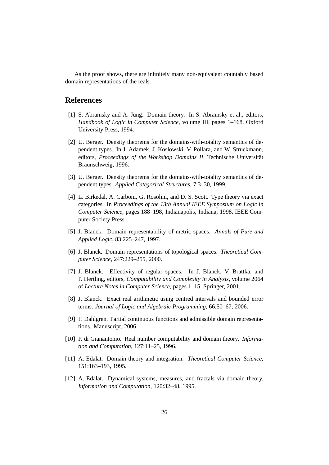As the proof shows, there are infinitely many non-equivalent countably based domain representations of the reals.

# **References**

- [1] S. Abramsky and A. Jung. Domain theory. In S. Abramsky et al., editors, *Handbook of Logic in Computer Science*, volume III, pages 1–168. Oxford University Press, 1994.
- [2] U. Berger. Density theorems for the domains-with-totality semantics of dependent types. In J. Adamek, J. Koslowski, V. Pollara, and W. Struckmann, editors, Proceedings of the Workshop Domains II. Technische Universität Braunschweig, 1996.
- [3] U. Berger. Density theorems for the domains-with-totality semantics of dependent types. *Applied Categorical Structures*, 7:3–30, 1999.
- [4] L. Birkedal, A. Carboni, G. Rosolini, and D. S. Scott. Type theory via exact categories. In *Proceedings of the 13th Annual IEEE Symposium on Logic in Computer Science*, pages 188–198, Indianapolis, Indiana, 1998. IEEE Computer Society Press.
- [5] J. Blanck. Domain representability of metric spaces. *Annals of Pure and Applied Logic*, 83:225–247, 1997.
- [6] J. Blanck. Domain representations of topological spaces. *Theoretical Computer Science*, 247:229–255, 2000.
- [7] J. Blanck. Effectivity of regular spaces. In J. Blanck, V. Brattka, and P. Hertling, editors, *Computability and Complexity in Analysis*, volume 2064 of *Lecture Notes in Computer Science*, pages 1–15. Springer, 2001.
- [8] J. Blanck. Exact real arithmetic using centred intervals and bounded error terms. *Journal of Logic and Algebraic Programming*, 66:50–67, 2006.
- [9] F. Dahlgren. Partial continuous functions and admissible domain representations. Manuscript, 2006.
- [10] P. di Gianantonio. Real number computability and domain theory. *Information and Computation*, 127:11–25, 1996.
- [11] A. Edalat. Domain theory and integration. *Theoretical Computer Science*, 151:163–193, 1995.
- [12] A. Edalat. Dynamical systems, measures, and fractals via domain theory. *Information and Computation*, 120:32–48, 1995.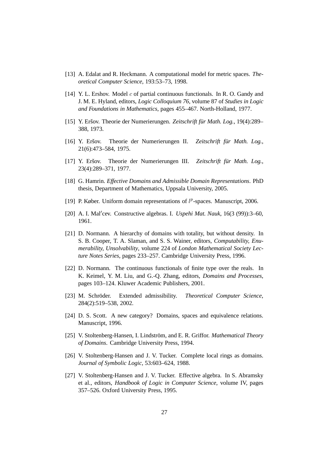- [13] A. Edalat and R. Heckmann. A computational model for metric spaces. *Theoretical Computer Science*, 193:53–73, 1998.
- [14] Y. L. Ershov. Model c of partial continuous functionals. In R. O. Gandy and J. M. E. Hyland, editors, *Logic Colloquium 76*, volume 87 of *Studies in Logic and Foundations in Mathematics*, pages 455–467. North-Holland, 1977.
- [15] Y. Eršov. Theorie der Numerierungen. Zeitschrift für Math. Log., 19(4):289– 388, 1973.
- [16] Y. Eršov. Theorie der Numerierungen II. Zeitschrift für Math. Log., 21(6):473–584, 1975.
- [17] Y. Eršov. Theorie der Numerierungen III. Zeitschrift für Math. Log., 23(4):289–371, 1977.
- [18] G. Hamrin. *Effective Domains and Admissible Domain Representations*. PhD thesis, Department of Mathematics, Uppsala University, 2005.
- [19] P. Køber. Uniform domain representations of  $l^p$ -spaces. Manuscript, 2006.
- [20] A. I. Mal′ cev. Constructive algebras. I. *Uspehi Mat. Nauk*, 16(3 (99)):3–60, 1961.
- [21] D. Normann. A hierarchy of domains with totality, but without density. In S. B. Cooper, T. A. Slaman, and S. S. Wainer, editors, *Computability, Enumerability, Unsolvability*, volume 224 of *London Mathematical Society Lecture Notes Series*, pages 233–257. Cambridge University Press, 1996.
- [22] D. Normann. The continuous functionals of finite type over the reals. In K. Keimel, Y. M. Liu, and G.-Q. Zhang, editors, *Domains and Processes*, pages 103–124. Kluwer Academic Publishers, 2001.
- [23] M. Schröder. Extended admissibility. *Theoretical Computer Science*, 284(2):519–538, 2002.
- [24] D. S. Scott. A new category? Domains, spaces and equivalence relations. Manuscript, 1996.
- [25] V. Stoltenberg-Hansen, I. Lindström, and E. R. Griffor. *Mathematical Theory of Domains*. Cambridge University Press, 1994.
- [26] V. Stoltenberg-Hansen and J. V. Tucker. Complete local rings as domains. *Journal of Symbolic Logic*, 53:603–624, 1988.
- [27] V. Stoltenberg-Hansen and J. V. Tucker. Effective algebra. In S. Abramsky et al., editors, *Handbook of Logic in Computer Science*, volume IV, pages 357–526. Oxford University Press, 1995.